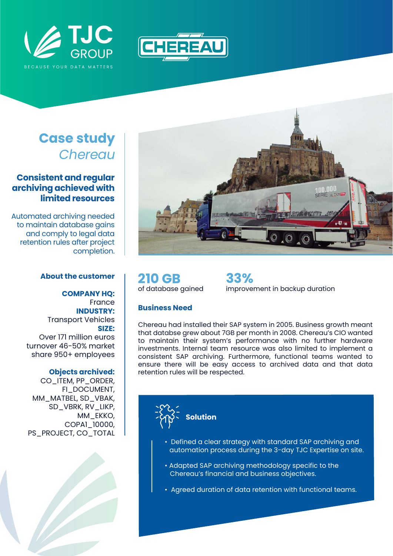



# **Case study** *Chereau*

## **Consistent and regular archiving achieved with limited resources**

Automated archiving needed to maintain database gains and comply to legal data retention rules after project completion.

#### **About the customer**

**COMPANY HQ:** France **INDUSTRY:** Transport Vehicles **SIZE:** Over 171 million euros turnover 46-50% market share 950+ employees

#### **Objects archived:**

CO\_ITEM, PP\_ORDER, FI\_DOCUMENT, MM\_MATBEL, SD\_VBAK, SD\_VBRK, RV\_LIKP, MM\_EKKO, COPA1\_10000, PS\_PROJECT, CO\_TOTAL





**210 GB** of database gained

**33%** improvement in backup duration

### **Business Need**

Chereau had installed their SAP system in 2005. Business growth meant that databse grew about 7GB per month in 2008. Chereau's CIO wanted to maintain their system's performance with no further hardware investments. Internal team resource was also limited to implement a consistent SAP archiving. Furthermore, functional teams wanted to ensure there will be easy access to archived data and that data retention rules will be respected.



- Defined a clear strategy with standard SAP archiving and automation process during the 3-day TJC Expertise on site.
- Adapted SAP archiving methodology specific to the Chereau's financial and business objectives.
- Agreed duration of data retention with functional teams.